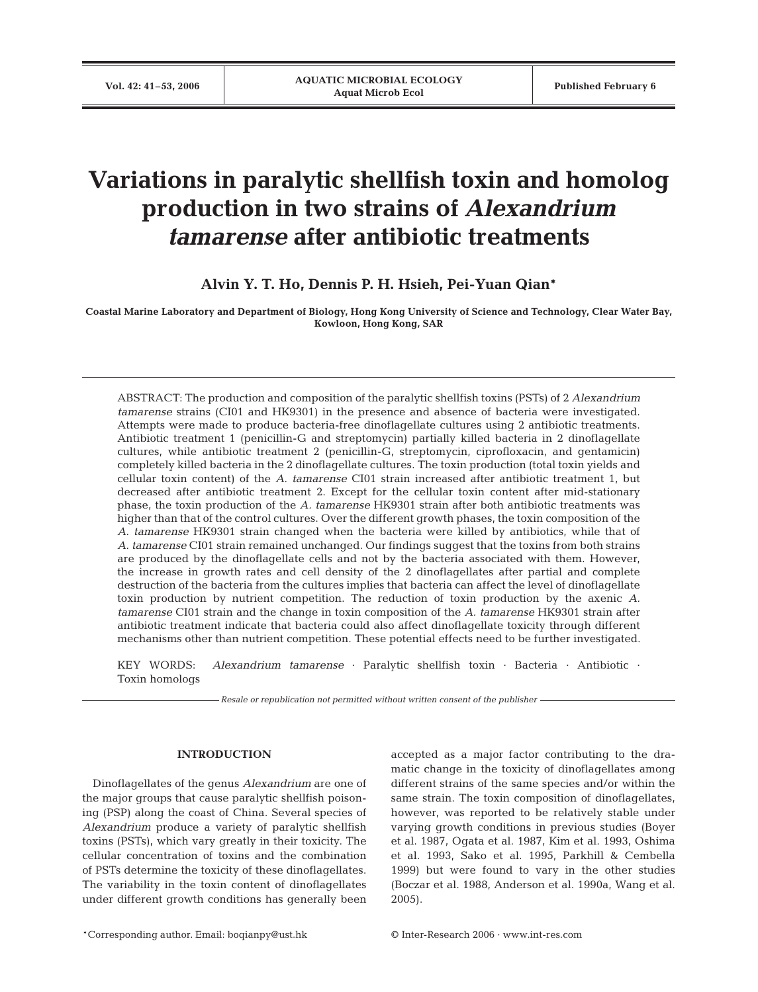# **Variations in paralytic shellfish toxin and homolog production in two strains of** *Alexandrium tamarense* **after antibiotic treatments**

**Alvin Y. T. Ho, Dennis P. H. Hsieh, Pei-Yuan Qian\***

**Coastal Marine Laboratory and Department of Biology, Hong Kong University of Science and Technology, Clear Water Bay, Kowloon, Hong Kong, SAR**

ABSTRACT: The production and composition of the paralytic shellfish toxins (PSTs) of 2 *Alexandrium tamarense* strains (CI01 and HK9301) in the presence and absence of bacteria were investigated. Attempts were made to produce bacteria-free dinoflagellate cultures using 2 antibiotic treatments. Antibiotic treatment 1 (penicillin-G and streptomycin) partially killed bacteria in 2 dinoflagellate cultures, while antibiotic treatment 2 (penicillin-G, streptomycin, ciprofloxacin, and gentamicin) completely killed bacteria in the 2 dinoflagellate cultures. The toxin production (total toxin yields and cellular toxin content) of the *A. tamarense* CI01 strain increased after antibiotic treatment 1, but decreased after antibiotic treatment 2. Except for the cellular toxin content after mid-stationary phase, the toxin production of the *A. tamarense* HK9301 strain after both antibiotic treatments was higher than that of the control cultures. Over the different growth phases, the toxin composition of the *A. tamarense* HK9301 strain changed when the bacteria were killed by antibiotics, while that of *A. tamarense* CI01 strain remained unchanged. Our findings suggest that the toxins from both strains are produced by the dinoflagellate cells and not by the bacteria associated with them. However, the increase in growth rates and cell density of the 2 dinoflagellates after partial and complete destruction of the bacteria from the cultures implies that bacteria can affect the level of dinoflagellate toxin production by nutrient competition. The reduction of toxin production by the axenic *A. tamarense* CI01 strain and the change in toxin composition of the *A. tamarense* HK9301 strain after antibiotic treatment indicate that bacteria could also affect dinoflagellate toxicity through different mechanisms other than nutrient competition. These potential effects need to be further investigated.

KEY WORDS: *Alexandrium tamarense* · Paralytic shellfish toxin · Bacteria · Antibiotic · Toxin homologs

*Resale or republication not permitted without written consent of the publisher*

#### **INTRODUCTION**

Dinoflagellates of the genus *Alexandrium* are one of the major groups that cause paralytic shellfish poisoning (PSP) along the coast of China. Several species of *Alexandrium* produce a variety of paralytic shellfish toxins (PSTs), which vary greatly in their toxicity. The cellular concentration of toxins and the combination of PSTs determine the toxicity of these dinoflagellates. The variability in the toxin content of dinoflagellates under different growth conditions has generally been accepted as a major factor contributing to the dramatic change in the toxicity of dinoflagellates among different strains of the same species and/or within the same strain. The toxin composition of dinoflagellates, however, was reported to be relatively stable under varying growth conditions in previous studies (Boyer et al. 1987, Ogata et al. 1987, Kim et al. 1993, Oshima et al. 1993, Sako et al. 1995, Parkhill & Cembella 1999) but were found to vary in the other studies (Boczar et al. 1988, Anderson et al. 1990a, Wang et al. 2005).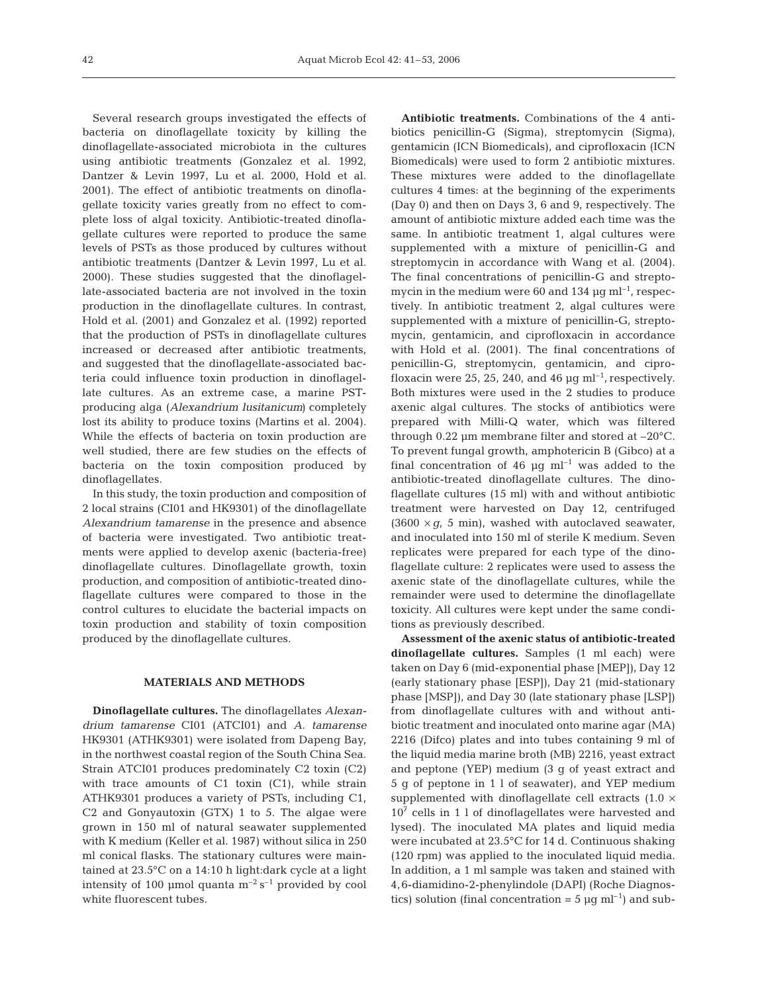Several research groups investigated the effects of bacteria on dinoflagellate toxicity by killing the dinoflagellate-associated microbiota in the cultures using antibiotic treatments (Gonzalez et al. 1992, Dantzer & Levin 1997, Lu et al. 2000, Hold et al. 2001). The effect of antibiotic treatments on dinoflagellate toxicity varies greatly from no effect to complete loss of algal toxicity. Antibiotic-treated dinoflagellate cultures were reported to produce the same levels of PSTs as those produced by cultures without antibiotic treatments (Dantzer & Levin 1997, Lu et al. 2000). These studies suggested that the dinoflagellate-associated bacteria are not involved in the toxin production in the dinoflagellate cultures. In contrast, Hold et al. (2001) and Gonzalez et al. (1992) reported that the production of PSTs in dinoflagellate cultures increased or decreased after antibiotic treatments, and suggested that the dinoflagellate-associated bacteria could influence toxin production in dinoflagellate cultures. As an extreme case, a marine PSTproducing alga (*Alexandrium lusitanicum)* completely lost its ability to produce toxins (Martins et al. 2004). While the effects of bacteria on toxin production are well studied, there are few studies on the effects of bacteria on the toxin composition produced by dinoflagellates.

In this study, the toxin production and composition of 2 local strains (CI01 and HK9301) of the dinoflagellate *Alexandrium tamarense* in the presence and absence of bacteria were investigated. Two antibiotic treatments were applied to develop axenic (bacteria-free) dinoflagellate cultures. Dinoflagellate growth, toxin production, and composition of antibiotic-treated dinoflagellate cultures were compared to those in the control cultures to elucidate the bacterial impacts on toxin production and stability of toxin composition produced by the dinoflagellate cultures.

### **MATERIALS AND METHODS**

**Dinoflagellate cultures.** The dinoflagellates *Alexandrium tamarense* CI01 (ATCI01) and *A. tamarense* HK9301 (ATHK9301) were isolated from Dapeng Bay, in the northwest coastal region of the South China Sea. Strain ATCI01 produces predominately C2 toxin (C2) with trace amounts of C1 toxin (C1), while strain ATHK9301 produces a variety of PSTs, including C1, C2 and Gonyautoxin (GTX) 1 to 5. The algae were grown in 150 ml of natural seawater supplemented with K medium (Keller et al. 1987) without silica in 250 ml conical flasks. The stationary cultures were maintained at 23.5°C on a 14:10 h light:dark cycle at a light intensity of 100 µmol quanta  $m^{-2} s^{-1}$  provided by cool white fluorescent tubes.

**Antibiotic treatments.** Combinations of the 4 antibiotics penicillin-G (Sigma), streptomycin (Sigma), gentamicin (ICN Biomedicals), and ciprofloxacin (ICN Biomedicals) were used to form 2 antibiotic mixtures. These mixtures were added to the dinoflagellate cultures 4 times: at the beginning of the experiments (Day 0) and then on Days 3, 6 and 9, respectively. The amount of antibiotic mixture added each time was the same. In antibiotic treatment 1, algal cultures were supplemented with a mixture of penicillin-G and streptomycin in accordance with Wang et al. (2004). The final concentrations of penicillin-G and streptomycin in the medium were 60 and 134  $\mu$ q ml<sup>-1</sup>, respectively. In antibiotic treatment 2, algal cultures were supplemented with a mixture of penicillin-G, streptomycin, gentamicin, and ciprofloxacin in accordance with Hold et al. (2001). The final concentrations of penicillin-G, streptomycin, gentamicin, and ciprofloxacin were 25, 25, 240, and 46  $\mu$ g ml<sup>-1</sup>, respectively. Both mixtures were used in the 2 studies to produce axenic algal cultures. The stocks of antibiotics were prepared with Milli-Q water, which was filtered through 0.22 µm membrane filter and stored at –20°C. To prevent fungal growth, amphotericin B (Gibco) at a final concentration of 46  $\mu$ q ml<sup>-1</sup> was added to the antibiotic-treated dinoflagellate cultures. The dinoflagellate cultures (15 ml) with and without antibiotic treatment were harvested on Day 12, centrifuged  $(3600 \times q, 5 \text{ min})$ , washed with autoclaved seawater, and inoculated into 150 ml of sterile K medium. Seven replicates were prepared for each type of the dinoflagellate culture: 2 replicates were used to assess the axenic state of the dinoflagellate cultures, while the remainder were used to determine the dinoflagellate toxicity. All cultures were kept under the same conditions as previously described.

**Assessment of the axenic status of antibiotic-treated dinoflagellate cultures.** Samples (1 ml each) were taken on Day 6 (mid-exponential phase [MEP]), Day 12 (early stationary phase [ESP]), Day 21 (mid-stationary phase [MSP]), and Day 30 (late stationary phase [LSP]) from dinoflagellate cultures with and without antibiotic treatment and inoculated onto marine agar (MA) 2216 (Difco) plates and into tubes containing 9 ml of the liquid media marine broth (MB) 2216, yeast extract and peptone (YEP) medium (3 g of yeast extract and 5 g of peptone in 1 l of seawater), and YEP medium supplemented with dinoflagellate cell extracts  $(1.0 \times$  $10<sup>7</sup>$  cells in 1 l of dinoflagellates were harvested and lysed). The inoculated MA plates and liquid media were incubated at 23.5°C for 14 d. Continuous shaking (120 rpm) was applied to the inoculated liquid media. In addition, a 1 ml sample was taken and stained with 4,6-diamidino-2-phenylindole (DAPI) (Roche Diagnostics) solution (final concentration =  $5 \mu g$  ml<sup>-1</sup>) and sub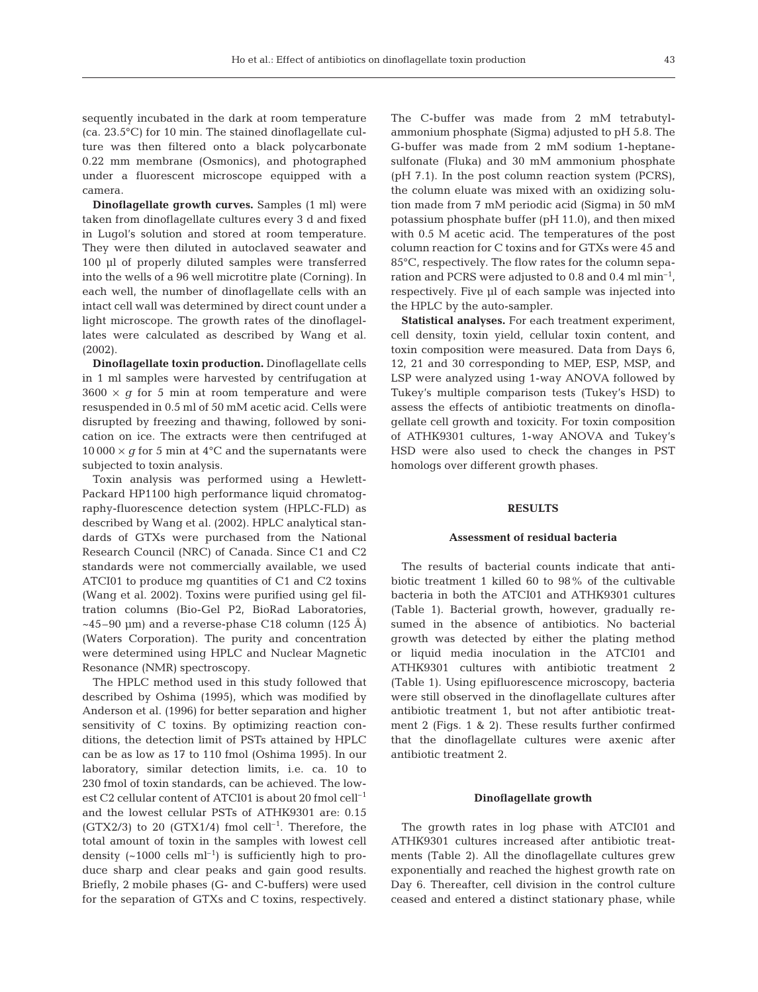sequently incubated in the dark at room temperature (ca. 23.5°C) for 10 min. The stained dinoflagellate culture was then filtered onto a black polycarbonate 0.22 mm membrane (Osmonics), and photographed under a fluorescent microscope equipped with a camera.

**Dinoflagellate growth curves.** Samples (1 ml) were taken from dinoflagellate cultures every 3 d and fixed in Lugol's solution and stored at room temperature. They were then diluted in autoclaved seawater and 100 µl of properly diluted samples were transferred into the wells of a 96 well microtitre plate (Corning). In each well, the number of dinoflagellate cells with an intact cell wall was determined by direct count under a light microscope. The growth rates of the dinoflagellates were calculated as described by Wang et al. (2002).

**Dinoflagellate toxin production.** Dinoflagellate cells in 1 ml samples were harvested by centrifugation at  $3600 \times g$  for 5 min at room temperature and were resuspended in 0.5 ml of 50 mM acetic acid. Cells were disrupted by freezing and thawing, followed by sonication on ice. The extracts were then centrifuged at  $10000 \times g$  for 5 min at 4<sup>o</sup>C and the supernatants were subjected to toxin analysis.

Toxin analysis was performed using a Hewlett-Packard HP1100 high performance liquid chromatography-fluorescence detection system (HPLC-FLD) as described by Wang et al. (2002). HPLC analytical standards of GTXs were purchased from the National Research Council (NRC) of Canada. Since C1 and C2 standards were not commercially available, we used ATCI01 to produce mg quantities of C1 and C2 toxins (Wang et al. 2002). Toxins were purified using gel filtration columns (Bio-Gel P2, BioRad Laboratories,  $\sim$ 45–90 µm) and a reverse-phase C18 column (125 Å) (Waters Corporation). The purity and concentration were determined using HPLC and Nuclear Magnetic Resonance (NMR) spectroscopy.

The HPLC method used in this study followed that described by Oshima (1995), which was modified by Anderson et al. (1996) for better separation and higher sensitivity of C toxins. By optimizing reaction conditions, the detection limit of PSTs attained by HPLC can be as low as 17 to 110 fmol (Oshima 1995). In our laboratory, similar detection limits, i.e. ca. 10 to 230 fmol of toxin standards, can be achieved. The lowest C2 cellular content of ATCI01 is about 20 fmol cell–1 and the lowest cellular PSTs of ATHK9301 are: 0.15 (GTX2/3) to 20 (GTX1/4) fmol cell<sup>-1</sup>. Therefore, the total amount of toxin in the samples with lowest cell density  $({\sim}1000 \text{ cells m}^{-1})$  is sufficiently high to produce sharp and clear peaks and gain good results. Briefly, 2 mobile phases (G- and C-buffers) were used for the separation of GTXs and C toxins, respectively.

The C-buffer was made from 2 mM tetrabutylammonium phosphate (Sigma) adjusted to pH 5.8. The G-buffer was made from 2 mM sodium 1-heptanesulfonate (Fluka) and 30 mM ammonium phosphate (pH 7.1). In the post column reaction system (PCRS), the column eluate was mixed with an oxidizing solution made from 7 mM periodic acid (Sigma) in 50 mM potassium phosphate buffer (pH 11.0), and then mixed with 0.5 M acetic acid. The temperatures of the post column reaction for C toxins and for GTXs were 45 and 85°C, respectively. The flow rates for the column separation and PCRS were adjusted to 0.8 and 0.4 ml  $min^{-1}$ , respectively. Five µl of each sample was injected into the HPLC by the auto-sampler.

**Statistical analyses.** For each treatment experiment, cell density, toxin yield, cellular toxin content, and toxin composition were measured. Data from Days 6, 12, 21 and 30 corresponding to MEP, ESP, MSP, and LSP were analyzed using 1-way ANOVA followed by Tukey's multiple comparison tests (Tukey's HSD) to assess the effects of antibiotic treatments on dinoflagellate cell growth and toxicity. For toxin composition of ATHK9301 cultures, 1-way ANOVA and Tukey's HSD were also used to check the changes in PST homologs over different growth phases.

## **RESULTS**

#### **Assessment of residual bacteria**

The results of bacterial counts indicate that antibiotic treatment 1 killed 60 to 98% of the cultivable bacteria in both the ATCI01 and ATHK9301 cultures (Table 1). Bacterial growth, however, gradually resumed in the absence of antibiotics. No bacterial growth was detected by either the plating method or liquid media inoculation in the ATCI01 and ATHK9301 cultures with antibiotic treatment 2 (Table 1). Using epifluorescence microscopy, bacteria were still observed in the dinoflagellate cultures after antibiotic treatment 1, but not after antibiotic treatment 2 (Figs. 1 & 2). These results further confirmed that the dinoflagellate cultures were axenic after antibiotic treatment 2.

## **Dinoflagellate growth**

The growth rates in log phase with ATCI01 and ATHK9301 cultures increased after antibiotic treatments (Table 2). All the dinoflagellate cultures grew exponentially and reached the highest growth rate on Day 6. Thereafter, cell division in the control culture ceased and entered a distinct stationary phase, while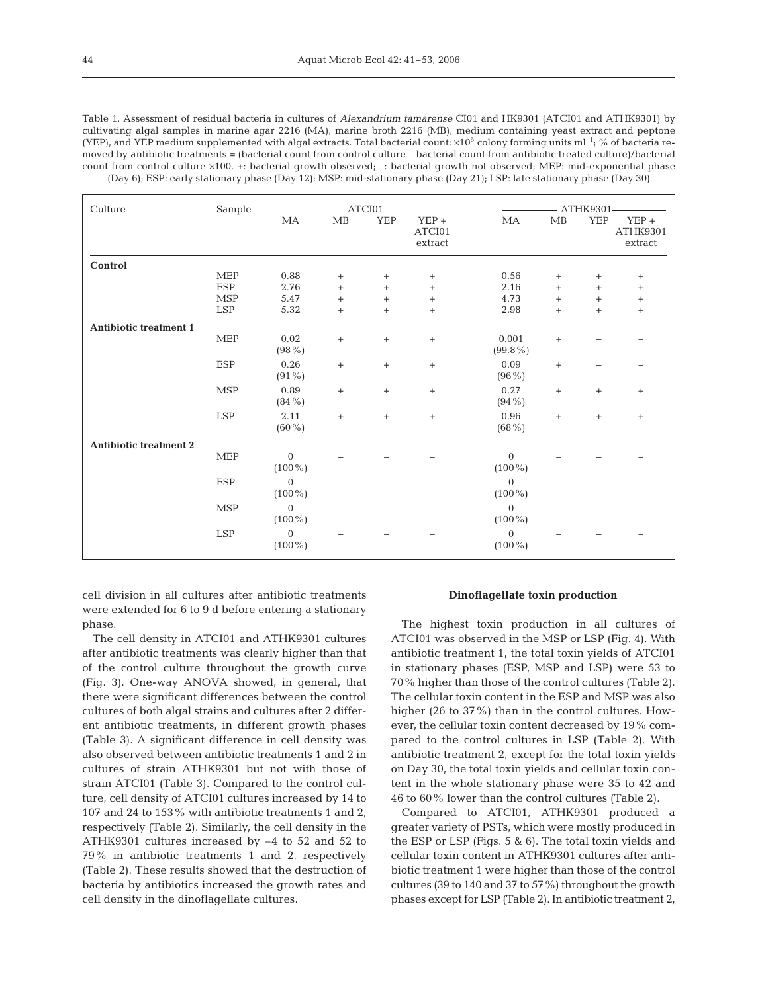Table 1. Assessment of residual bacteria in cultures of *Alexandrium tamarense* CI01 and HK9301 (ATCI01 and ATHK9301) by cultivating algal samples in marine agar 2216 (MA), marine broth 2216 (MB), medium containing yeast extract and peptone (YEP), and YEP medium supplemented with algal extracts. Total bacterial count:  $\times 10^6$  colony forming units ml<sup>-1</sup>; % of bacteria removed by antibiotic treatments = (bacterial count from control culture – bacterial count from antibiotic treated culture)/bacterial count from control culture ×100. +: bacterial growth observed; -: bacterial growth not observed; MEP: mid-exponential phase (Day 6); ESP: early stationary phase (Day 12); MSP: mid-stationary phase (Day 21); LSP: late stationary phase (Day 30)

| Culture                       | Sample     | $-ATCI01$                     |                   | ATHK9301-        |                              |                             |                                  |            |                                  |
|-------------------------------|------------|-------------------------------|-------------------|------------------|------------------------------|-----------------------------|----------------------------------|------------|----------------------------------|
|                               |            | MA                            | MB                | YEP              | $YEP +$<br>ATCI01<br>extract | MA                          | MB                               | <b>YEP</b> | $YEP +$<br>ATHK9301<br>extract   |
| Control                       |            |                               |                   |                  |                              |                             |                                  |            |                                  |
|                               | <b>MEP</b> | 0.88                          | $^{+}$            | $^{+}$           | $^{+}$                       | 0.56                        | $\begin{array}{c} + \end{array}$ | $^{+}$     | $\begin{array}{c} + \end{array}$ |
|                               | <b>ESP</b> | 2.76                          | $\qquad \qquad +$ | $+$              | $\ddot{}$                    | 2.16                        | $\ddot{}$                        | $\ddot{}$  | $\boldsymbol{+}$                 |
|                               | <b>MSP</b> | 5.47                          | $^{+}$            | $^{+}$           | $^{+}$                       | 4.73                        | $^{+}$                           | $^{+}$     | $^{+}$                           |
|                               | LSP        | 5.32                          | $\qquad \qquad +$ | $\! +$           | $^{+}$                       | 2.98                        | $\ddot{}$                        | $\ddot{}$  | $\qquad \qquad +$                |
| <b>Antibiotic treatment 1</b> |            |                               |                   |                  |                              |                             |                                  |            |                                  |
|                               | <b>MEP</b> | 0.02<br>$(98\%)$              | $^{+}$            | $\boldsymbol{+}$ | $^{+}$                       | 0.001<br>$(99.8\%)$         | $^{+}$                           |            |                                  |
|                               | <b>ESP</b> | 0.26<br>$(91\%)$              | $\qquad \qquad +$ | $\boldsymbol{+}$ | $^{+}$                       | 0.09<br>$(96\%)$            | $+$                              |            |                                  |
|                               | MSP        | 0.89<br>$(84\%)$              | $\boldsymbol{+}$  | $^+$             | $^{+}$                       | 0.27<br>$(94\%)$            | $^{+}$                           | $\ddot{}$  | $^{+}$                           |
|                               | LSP        | 2.11<br>$(60\%)$              | $\qquad \qquad +$ | $\boldsymbol{+}$ | $\qquad \qquad +$            | 0.96<br>$(68\%)$            | $^{+}$                           | $^{+}$     | $^{+}$                           |
| <b>Antibiotic treatment 2</b> |            |                               |                   |                  |                              |                             |                                  |            |                                  |
|                               | <b>MEP</b> | $\boldsymbol{0}$<br>$(100\%)$ |                   |                  |                              | $\overline{0}$<br>$(100\%)$ |                                  |            |                                  |
|                               | <b>ESP</b> | $\mathbf{0}$<br>$(100\%)$     |                   |                  |                              | $\mathbf{0}$<br>$(100\%)$   |                                  |            |                                  |
|                               | <b>MSP</b> | $\overline{0}$<br>$(100\%)$   |                   |                  |                              | $\mathbf{0}$<br>$(100\%)$   |                                  |            |                                  |
|                               | <b>LSP</b> | $\overline{0}$<br>$(100\%)$   |                   |                  |                              | $\overline{0}$<br>$(100\%)$ |                                  |            |                                  |

cell division in all cultures after antibiotic treatments were extended for 6 to 9 d before entering a stationary phase.

The cell density in ATCI01 and ATHK9301 cultures after antibiotic treatments was clearly higher than that of the control culture throughout the growth curve (Fig. 3). One-way ANOVA showed, in general, that there were significant differences between the control cultures of both algal strains and cultures after 2 different antibiotic treatments, in different growth phases (Table 3). A significant difference in cell density was also observed between antibiotic treatments 1 and 2 in cultures of strain ATHK9301 but not with those of strain ATCI01 (Table 3). Compared to the control culture, cell density of ATCI01 cultures increased by 14 to 107 and 24 to 153% with antibiotic treatments 1 and 2, respectively (Table 2). Similarly, the cell density in the ATHK9301 cultures increased by –4 to 52 and 52 to 79% in antibiotic treatments 1 and 2, respectively (Table 2). These results showed that the destruction of bacteria by antibiotics increased the growth rates and cell density in the dinoflagellate cultures.

#### **Dinoflagellate toxin production**

The highest toxin production in all cultures of ATCI01 was observed in the MSP or LSP (Fig. 4). With antibiotic treatment 1, the total toxin yields of ATCI01 in stationary phases (ESP, MSP and LSP) were 53 to 70% higher than those of the control cultures (Table 2). The cellular toxin content in the ESP and MSP was also higher (26 to 37%) than in the control cultures. However, the cellular toxin content decreased by 19% compared to the control cultures in LSP (Table 2). With antibiotic treatment 2, except for the total toxin yields on Day 30, the total toxin yields and cellular toxin content in the whole stationary phase were 35 to 42 and 46 to 60% lower than the control cultures (Table 2).

Compared to ATCI01, ATHK9301 produced a greater variety of PSTs, which were mostly produced in the ESP or LSP (Figs. 5 & 6). The total toxin yields and cellular toxin content in ATHK9301 cultures after antibiotic treatment 1 were higher than those of the control cultures (39 to 140 and 37 to 57%) throughout the growth phases except for LSP (Table 2). In antibiotic treatment 2,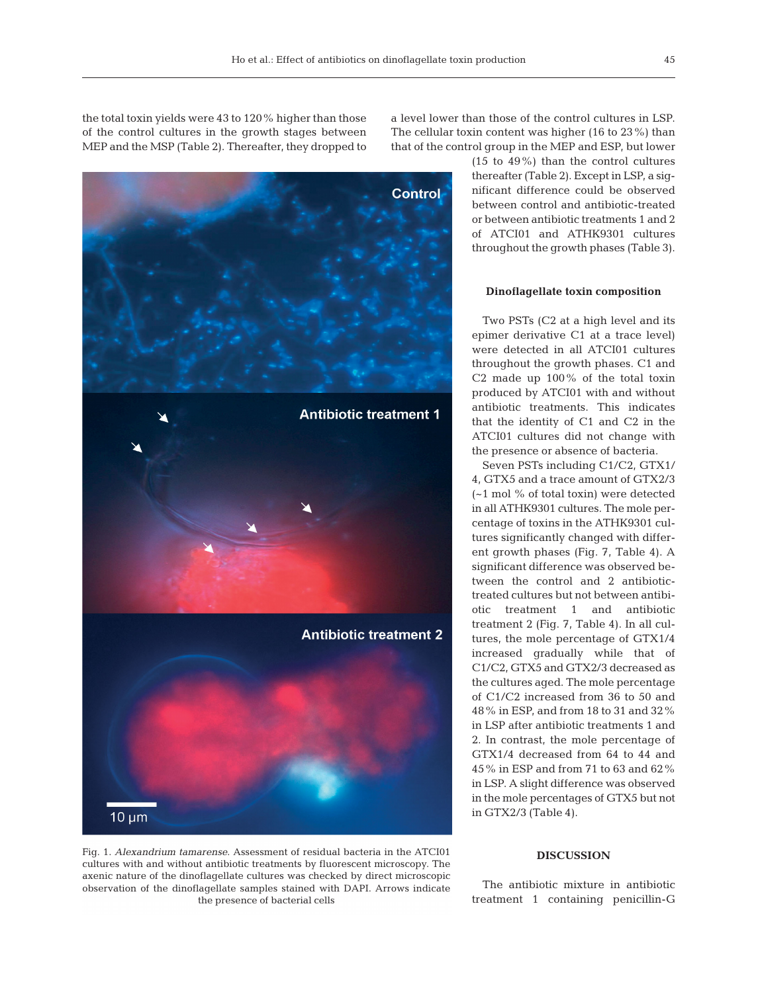the total toxin yields were 43 to 120% higher than those of the control cultures in the growth stages between MEP and the MSP (Table 2). Thereafter, they dropped to



Fig. 1. *Alexandrium tamarense*. Assessment of residual bacteria in the ATCI01 cultures with and without antibiotic treatments by fluorescent microscopy. The axenic nature of the dinoflagellate cultures was checked by direct microscopic observation of the dinoflagellate samples stained with DAPI. Arrows indicate the presence of bacterial cells

a level lower than those of the control cultures in LSP. The cellular toxin content was higher (16 to 23%) than that of the control group in the MEP and ESP, but lower

> (15 to 49%) than the control cultures thereafter (Table 2). Except in LSP, a significant difference could be observed between control and antibiotic-treated or between antibiotic treatments 1 and 2 of ATCI01 and ATHK9301 cultures throughout the growth phases (Table 3).

#### **Dinoflagellate toxin composition**

Two PSTs (C2 at a high level and its epimer derivative C1 at a trace level) were detected in all ATCI01 cultures throughout the growth phases. C1 and C2 made up 100% of the total toxin produced by ATCI01 with and without antibiotic treatments. This indicates that the identity of C1 and C2 in the ATCI01 cultures did not change with the presence or absence of bacteria.

Seven PSTs including C1/C2, GTX1/ 4, GTX5 and a trace amount of GTX2/3 (~1 mol % of total toxin) were detected in all ATHK9301 cultures. The mole percentage of toxins in the ATHK9301 cultures significantly changed with different growth phases (Fig. 7, Table 4). A significant difference was observed between the control and 2 antibiotictreated cultures but not between antibiotic treatment 1 and antibiotic treatment 2 (Fig. 7, Table 4). In all cultures, the mole percentage of GTX1/4 increased gradually while that of C1/C2, GTX5 and GTX2/3 decreased as the cultures aged. The mole percentage of C1/C2 increased from 36 to 50 and 48% in ESP, and from 18 to 31 and 32% in LSP after antibiotic treatments 1 and 2. In contrast, the mole percentage of GTX1/4 decreased from 64 to 44 and 45% in ESP and from 71 to 63 and 62% in LSP. A slight difference was observed in the mole percentages of GTX5 but not in GTX2/3 (Table 4).

## **DISCUSSION**

The antibiotic mixture in antibiotic treatment 1 containing penicillin-G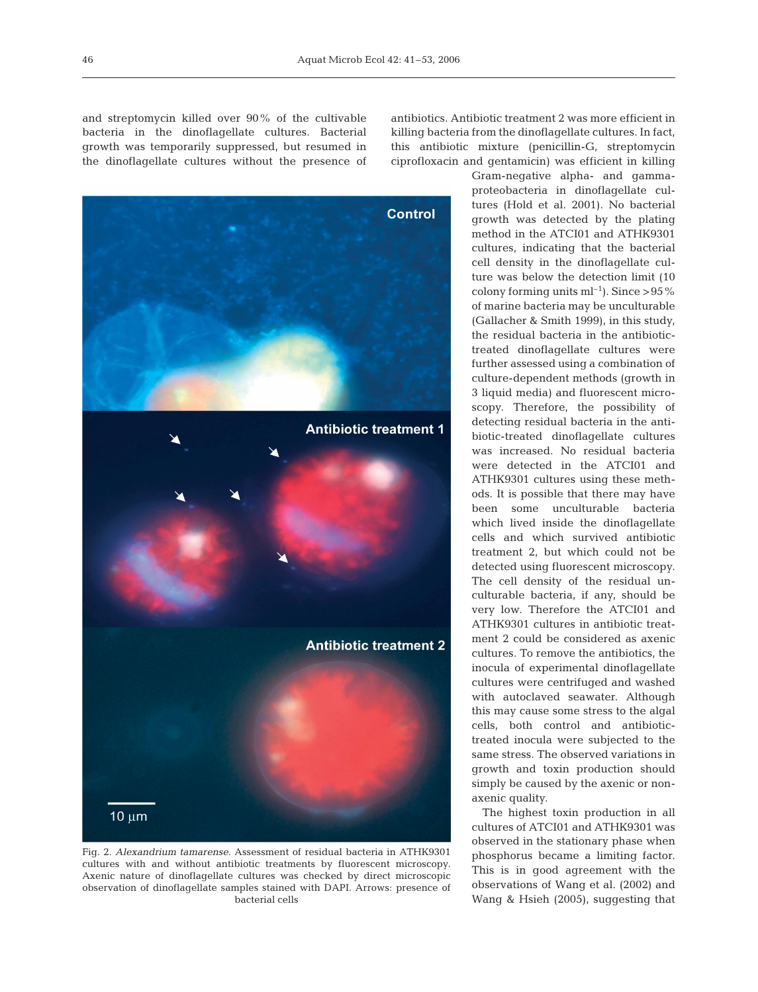and streptomycin killed over 90% of the cultivable bacteria in the dinoflagellate cultures. Bacterial growth was temporarily suppressed, but resumed in the dinoflagellate cultures without the presence of



Fig. 2. *Alexandrium tamarense*. Assessment of residual bacteria in ATHK9301 cultures with and without antibiotic treatments by fluorescent microscopy. Axenic nature of dinoflagellate cultures was checked by direct microscopic observation of dinoflagellate samples stained with DAPI. Arrows: presence of bacterial cells

antibiotics. Antibiotic treatment 2 was more efficient in killing bacteria from the dinoflagellate cultures. In fact, this antibiotic mixture (penicillin-G, streptomycin ciprofloxacin and gentamicin) was efficient in killing

> Gram-negative alpha- and gammaproteobacteria in dinoflagellate cultures (Hold et al. 2001). No bacterial growth was detected by the plating method in the ATCI01 and ATHK9301 cultures, indicating that the bacterial cell density in the dinoflagellate culture was below the detection limit (10 colony forming units  $ml^{-1}$ ). Since >95% of marine bacteria may be unculturable (Gallacher & Smith 1999), in this study, the residual bacteria in the antibiotictreated dinoflagellate cultures were further assessed using a combination of culture-dependent methods (growth in 3 liquid media) and fluorescent microscopy. Therefore, the possibility of detecting residual bacteria in the antibiotic-treated dinoflagellate cultures was increased. No residual bacteria were detected in the ATCI01 and ATHK9301 cultures using these methods. It is possible that there may have been some unculturable bacteria which lived inside the dinoflagellate cells and which survived antibiotic treatment 2, but which could not be detected using fluorescent microscopy. The cell density of the residual unculturable bacteria, if any, should be very low. Therefore the ATCI01 and ATHK9301 cultures in antibiotic treatment 2 could be considered as axenic cultures. To remove the antibiotics, the inocula of experimental dinoflagellate cultures were centrifuged and washed with autoclaved seawater. Although this may cause some stress to the algal cells, both control and antibiotictreated inocula were subjected to the same stress. The observed variations in growth and toxin production should simply be caused by the axenic or nonaxenic quality.

> The highest toxin production in all cultures of ATCI01 and ATHK9301 was observed in the stationary phase when phosphorus became a limiting factor. This is in good agreement with the observations of Wang et al. (2002) and Wang & Hsieh (2005), suggesting that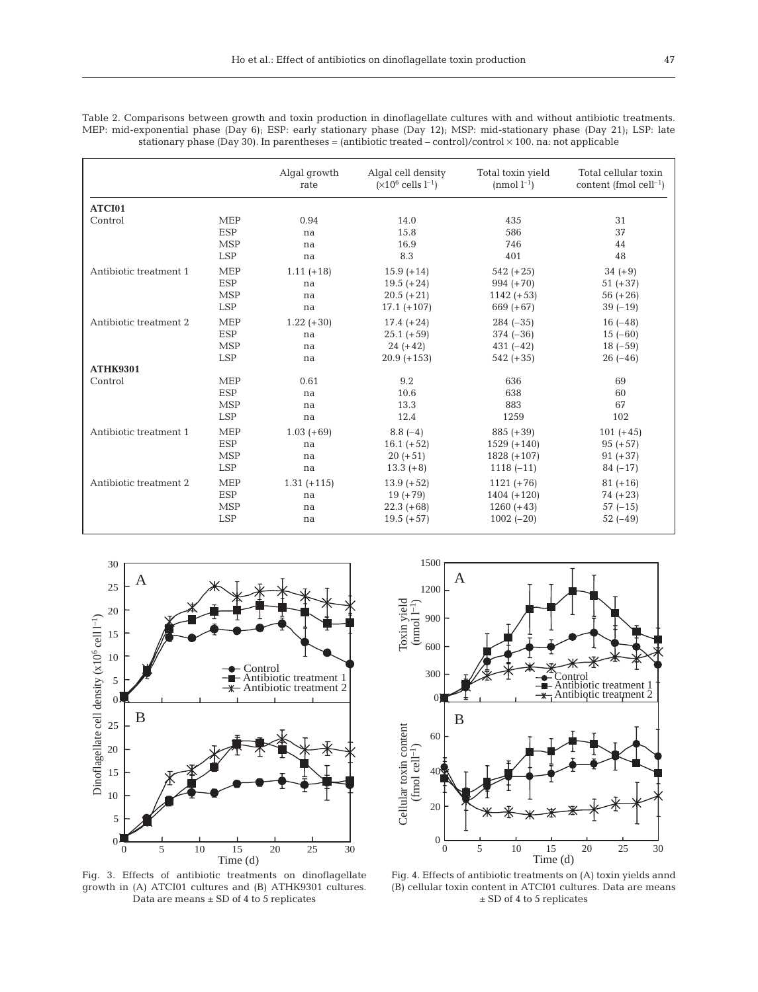Table 2. Comparisons between growth and toxin production in dinoflagellate cultures with and without antibiotic treatments. MEP: mid-exponential phase (Day 6); ESP: early stationary phase (Day 12); MSP: mid-stationary phase (Day 21); LSP: late stationary phase (Day 30). In parentheses = (antibiotic treated – control)/control  $\times$  100. na: not applicable

|                        |            | Algal growth<br>rate | Algal cell density<br>$(x10^6$ cells $l^{-1}$ ) | Total toxin yield<br>(nmol $l^{-1}$ ) | Total cellular toxin<br>content (fmol cell $^{-1}$ ) |
|------------------------|------------|----------------------|-------------------------------------------------|---------------------------------------|------------------------------------------------------|
| ATCI01                 |            |                      |                                                 |                                       |                                                      |
| Control                | <b>MEP</b> | 0.94                 | 14.0                                            | 435                                   | 31                                                   |
|                        | <b>ESP</b> | na                   | 15.8                                            | 586                                   | 37                                                   |
|                        | <b>MSP</b> | na                   | 16.9                                            | 746                                   | 44                                                   |
|                        | <b>LSP</b> | na                   | 8.3                                             | 401                                   | 48                                                   |
| Antibiotic treatment 1 | <b>MEP</b> | $1.11 (+18)$         | $15.9 + 14$                                     | $542 (+25)$                           | $34 (+9)$                                            |
|                        | <b>ESP</b> | na                   | $19.5 (+24)$                                    | $994 (+70)$                           | $51 (+37)$                                           |
|                        | <b>MSP</b> | na                   | $20.5 (+21)$                                    | $1142 (+53)$                          | $56 (+26)$                                           |
|                        | <b>LSP</b> | na                   | $17.1 (+107)$                                   | $669 (+67)$                           | $39(-19)$                                            |
| Antibiotic treatment 2 | <b>MEP</b> | $1.22 (+30)$         | $17.4 (+24)$                                    | $284 (-35)$                           | $16(-48)$                                            |
|                        | <b>ESP</b> | na                   | $25.1 (+59)$                                    | $374 (-36)$                           | $15(-60)$                                            |
|                        | <b>MSP</b> | na                   | $24 (+42)$                                      | $431(-42)$                            | $18(-59)$                                            |
|                        | <b>LSP</b> | na                   | $20.9 + 153$                                    | $542 (+35)$                           | $26(-46)$                                            |
| <b>ATHK9301</b>        |            |                      |                                                 |                                       |                                                      |
| Control                | <b>MEP</b> | 0.61                 | 9.2                                             | 636                                   | 69                                                   |
|                        | <b>ESP</b> | na                   | 10.6                                            | 638                                   | 60                                                   |
|                        | <b>MSP</b> | na                   | 13.3                                            | 883                                   | 67                                                   |
|                        | <b>LSP</b> | na                   | 12.4                                            | 1259                                  | 102                                                  |
| Antibiotic treatment 1 | <b>MEP</b> | $1.03 (+69)$         | $8.8(-4)$                                       | $885 (+39)$                           | $101 (+45)$                                          |
|                        | <b>ESP</b> | na                   | $16.1 (+52)$                                    | $1529 (+140)$                         | $95 (+57)$                                           |
|                        | <b>MSP</b> | na                   | $20 (+51)$                                      | $1828 (+107)$                         | $91 (+37)$                                           |
|                        | <b>LSP</b> | na                   | $13.3 (+8)$                                     | $1118(-11)$                           | $84(-17)$                                            |
| Antibiotic treatment 2 | <b>MEP</b> | $1.31 (+115)$        | $13.9 (+52)$                                    | $1121 (+76)$                          | $81 (+16)$                                           |
|                        | <b>ESP</b> | na                   | $19 (+79)$                                      | $1404 (+120)$                         | $74 (+23)$                                           |
|                        | <b>MSP</b> | na                   | $22.3 (+68)$                                    | $1260 (+43)$                          | $57(-15)$                                            |
|                        | <b>LSP</b> | na                   | $19.5 (+57)$                                    | $1002(-20)$                           | $52(-49)$                                            |



Fig. 3. Effects of antibiotic treatments on dinoflagellate growth in (A) ATCI01 cultures and (B) ATHK9301 cultures. Data are means ± SD of 4 to 5 replicates



Fig. 4. Effects of antibiotic treatments on (A) toxin yields annd (B) cellular toxin content in ATCI01 cultures. Data are means ± SD of 4 to 5 replicates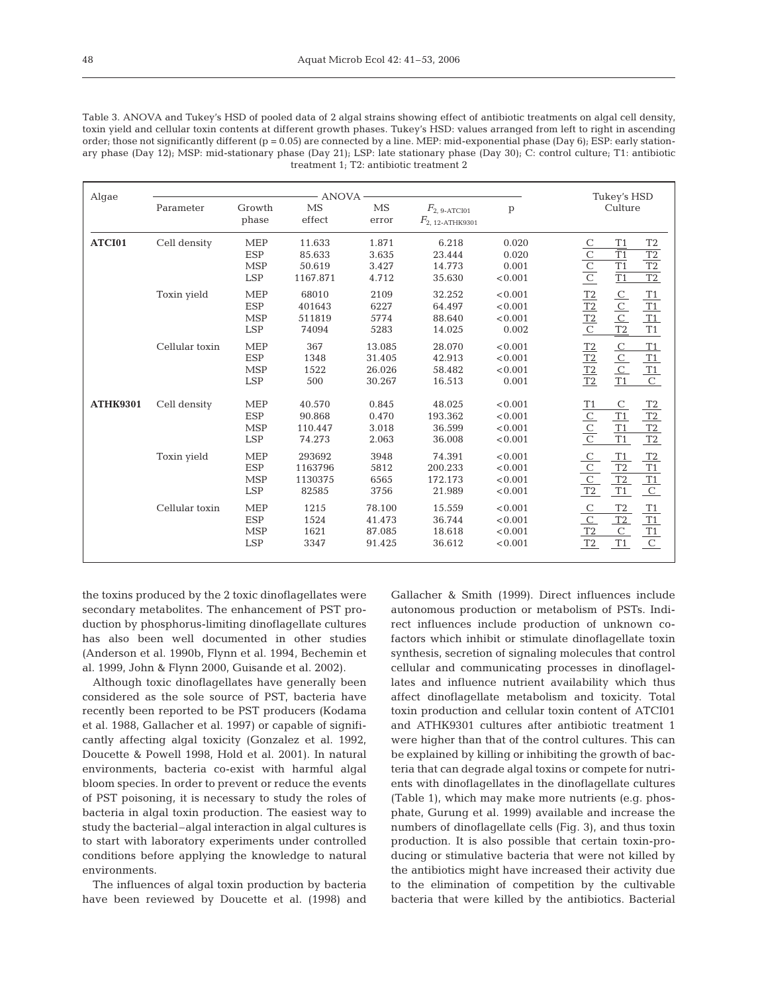| Table 3. ANOVA and Tukey's HSD of pooled data of 2 algal strains showing effect of antibiotic treatments on algal cell density.          |
|------------------------------------------------------------------------------------------------------------------------------------------|
| toxin yield and cellular toxin contents at different growth phases. Tukey's HSD: values arranged from left to right in ascending         |
| order; those not significantly different ( $p = 0.05$ ) are connected by a line. MEP: mid-exponential phase (Day 6); ESP: early station- |
| ary phase (Day 12); MSP: mid-stationary phase (Day 21); LSP: late stationary phase (Day 30); C: control culture; T1: antibiotic          |
| treatment 1: T2: antibiotic treatment 2                                                                                                  |

| Algae           |                | Tukey's HSD                                          |                                        |                                      |                                           |                                          |                                                                                                                                        |
|-----------------|----------------|------------------------------------------------------|----------------------------------------|--------------------------------------|-------------------------------------------|------------------------------------------|----------------------------------------------------------------------------------------------------------------------------------------|
|                 | Parameter      | Growth<br>phase                                      | <b>MS</b><br>effect                    | MS<br>error                          | $F_{2, 9-ATCI01}$<br>$F_{2, 12-ATHK9301}$ | p                                        | Culture                                                                                                                                |
| ATCI01          | Cell density   | <b>MEP</b><br><b>ESP</b><br><b>MSP</b><br><b>LSP</b> | 11.633<br>85.633<br>50.619<br>1167.871 | 1.871<br>3.635<br>3.427<br>4.712     | 6.218<br>23.444<br>14.773<br>35.630       | 0.020<br>0.020<br>0.001<br>< 0.001       | T1<br>T <sub>2</sub><br>$rac{C}{C}$<br>$\overline{T1}$<br>$\frac{T2}{T2}$<br>$\overline{T1}$<br>$\overline{T1}$<br>$\overline{T2}$     |
|                 | Toxin yield    | <b>MEP</b><br><b>ESP</b><br><b>MSP</b><br><b>LSP</b> | 68010<br>401643<br>511819<br>74094     | 2109<br>6227<br>5774<br>5283         | 32.252<br>64.497<br>88.640<br>14.025      | < 0.001<br>< 0.001<br>< 0.001<br>0.002   | $\frac{T2}{T2}$ $\frac{T2}{C}$<br>$rac{C}{C}$<br>$rac{C}{T2}$<br>T1<br>T1<br>T1<br>$\mathbb{T}1$                                       |
|                 | Cellular toxin | <b>MEP</b><br><b>ESP</b><br><b>MSP</b><br><b>LSP</b> | 367<br>1348<br>1522<br>500             | 13.085<br>31.405<br>26.026<br>30.267 | 28.070<br>42.913<br>58.482<br>16.513      | < 0.001<br>< 0.001<br>< 0.001<br>0.001   | $\frac{C}{C}$ $\frac{C}{T1}$<br>$\frac{T2}{T2}$<br>T1<br>$\frac{T1}{T1}$<br>T2                                                         |
| <b>ATHK9301</b> | Cell density   | <b>MEP</b><br><b>ESP</b><br><b>MSP</b><br><b>LSP</b> | 40.570<br>90.868<br>110.447<br>74.273  | 0.845<br>0.470<br>3.018<br>2.063     | 48.025<br>193.362<br>36.599<br>36.008     | < 0.001<br>< 0.001<br>< 0.001<br>< 0.001 | $\mathsf{C}$<br>T2<br>T1<br>$rac{C}{C}$<br>T1<br>T2<br>T1<br>T <sub>2</sub><br>T1<br>T2                                                |
|                 | Toxin yield    | <b>MEP</b><br><b>ESP</b><br><b>MSP</b><br><b>LSP</b> | 293692<br>1163796<br>1130375<br>82585  | 3948<br>5812<br>6565<br>3756         | 74.391<br>200.233<br>172.173<br>21.989    | < 0.001<br>< 0.001<br>< 0.001<br>< 0.001 | $\frac{C}{C}$ $\frac{C}{T2}$<br>T1<br>T2<br>$\rm{T}1$<br>$\mathsf{T}2$<br>$\frac{T1}{C}$<br>T2<br>T1                                   |
|                 | Cellular toxin | <b>MEP</b><br><b>ESP</b><br><b>MSP</b><br><b>LSP</b> | 1215<br>1524<br>1621<br>3347           | 78.100<br>41.473<br>87.085<br>91.425 | 15.559<br>36.744<br>18.618<br>36.612      | < 0.001<br>< 0.001<br>< 0.001<br>< 0.001 | $\mathbf C$<br>$\operatorname{T2}$<br>$\frac{T1}{T1}$<br>$\frac{C}{T2}$<br>T2<br>$\mathsf{C}$<br>$\overline{\rm C}$<br>$\rm{T}1$<br>T2 |

the toxins produced by the 2 toxic dinoflagellates were secondary metabolites. The enhancement of PST production by phosphorus-limiting dinoflagellate cultures has also been well documented in other studies (Anderson et al. 1990b, Flynn et al. 1994, Bechemin et al. 1999, John & Flynn 2000, Guisande et al. 2002).

Although toxic dinoflagellates have generally been considered as the sole source of PST, bacteria have recently been reported to be PST producers (Kodama et al. 1988, Gallacher et al. 1997) or capable of significantly affecting algal toxicity (Gonzalez et al. 1992, Doucette & Powell 1998, Hold et al. 2001). In natural environments, bacteria co-exist with harmful algal bloom species. In order to prevent or reduce the events of PST poisoning, it is necessary to study the roles of bacteria in algal toxin production. The easiest way to study the bacterial–algal interaction in algal cultures is to start with laboratory experiments under controlled conditions before applying the knowledge to natural environments.

The influences of algal toxin production by bacteria have been reviewed by Doucette et al. (1998) and Gallacher & Smith (1999). Direct influences include autonomous production or metabolism of PSTs. Indirect influences include production of unknown cofactors which inhibit or stimulate dinoflagellate toxin synthesis, secretion of signaling molecules that control cellular and communicating processes in dinoflagellates and influence nutrient availability which thus affect dinoflagellate metabolism and toxicity. Total toxin production and cellular toxin content of ATCI01 and ATHK9301 cultures after antibiotic treatment 1 were higher than that of the control cultures. This can be explained by killing or inhibiting the growth of bacteria that can degrade algal toxins or compete for nutrients with dinoflagellates in the dinoflagellate cultures (Table 1), which may make more nutrients (e.g. phosphate, Gurung et al. 1999) available and increase the numbers of dinoflagellate cells (Fig. 3), and thus toxin production. It is also possible that certain toxin-producing or stimulative bacteria that were not killed by the antibiotics might have increased their activity due to the elimination of competition by the cultivable bacteria that were killed by the antibiotics. Bacterial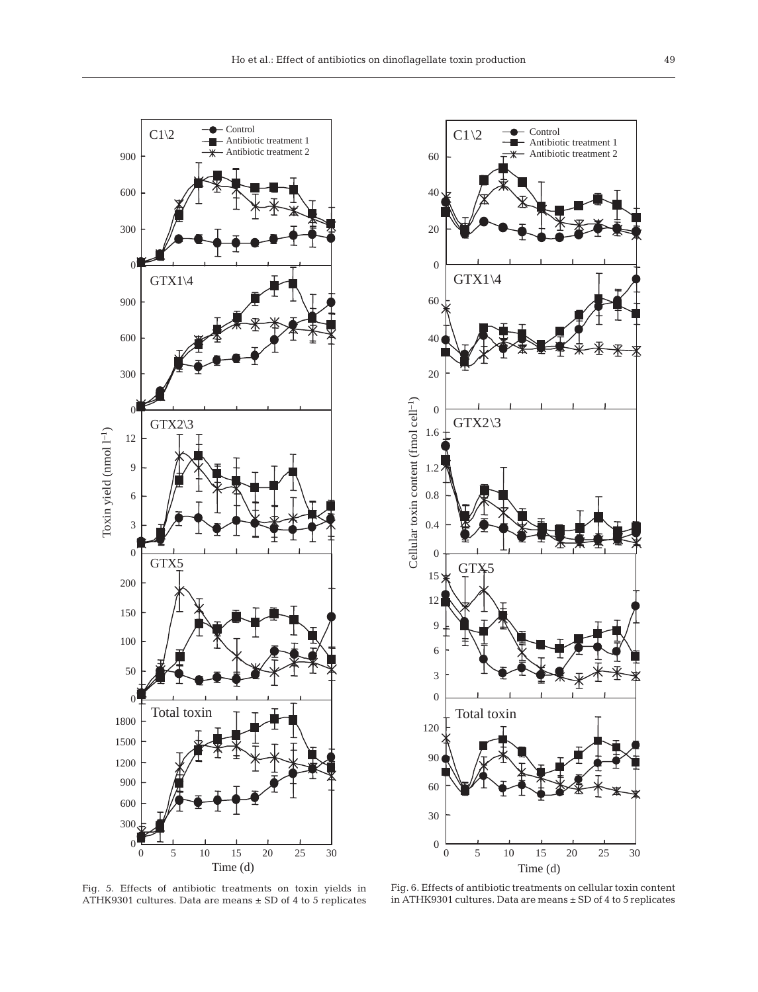

Fig. 5. Effects of antibiotic treatments on toxin yields in ATHK9301 cultures. Data are means ± SD of 4 to 5 replicates



Fig. 6. Effects of antibiotic treatments on cellular toxin content in ATHK9301 cultures. Data are means ± SD of 4 to 5 replicates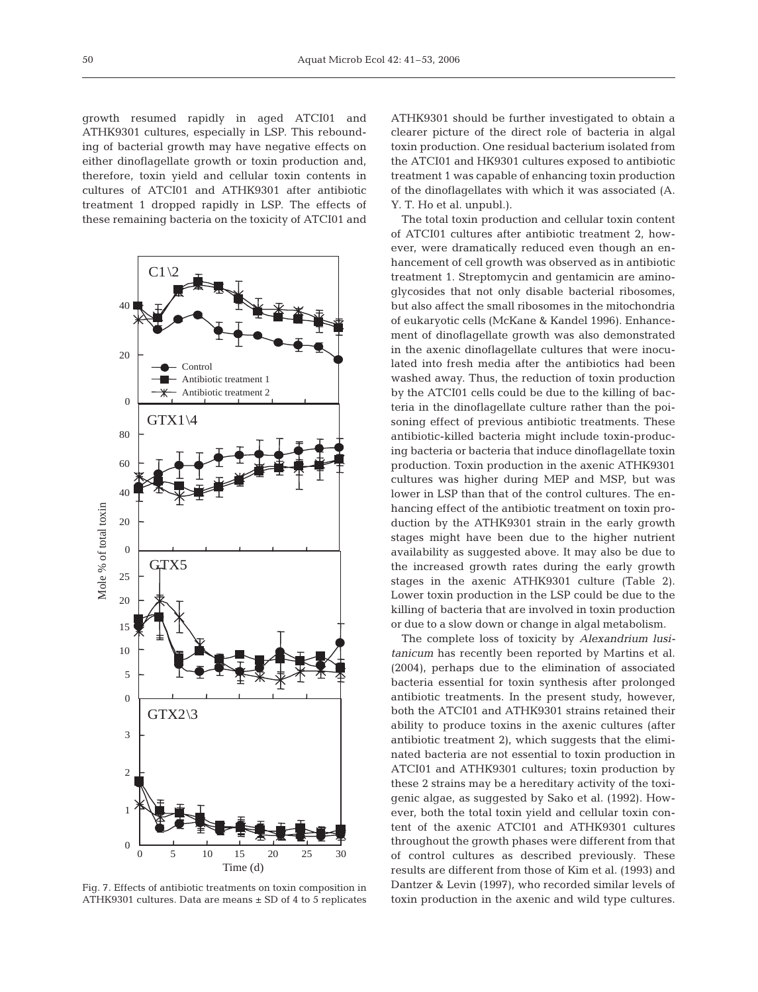growth resumed rapidly in aged ATCI01 and ATHK9301 cultures, especially in LSP. This rebounding of bacterial growth may have negative effects on either dinoflagellate growth or toxin production and, therefore, toxin yield and cellular toxin contents in cultures of ATCI01 and ATHK9301 after antibiotic treatment 1 dropped rapidly in LSP. The effects of these remaining bacteria on the toxicity of ATCI01 and



Fig. 7. Effects of antibiotic treatments on toxin composition in ATHK9301 cultures. Data are means  $\pm$  SD of 4 to 5 replicates

ATHK9301 should be further investigated to obtain a clearer picture of the direct role of bacteria in algal toxin production. One residual bacterium isolated from the ATCI01 and HK9301 cultures exposed to antibiotic treatment 1 was capable of enhancing toxin production of the dinoflagellates with which it was associated (A. Y. T. Ho et al. unpubl.).

The total toxin production and cellular toxin content of ATCI01 cultures after antibiotic treatment 2, however, were dramatically reduced even though an enhancement of cell growth was observed as in antibiotic treatment 1. Streptomycin and gentamicin are aminoglycosides that not only disable bacterial ribosomes, but also affect the small ribosomes in the mitochondria of eukaryotic cells (McKane & Kandel 1996). Enhancement of dinoflagellate growth was also demonstrated in the axenic dinoflagellate cultures that were inoculated into fresh media after the antibiotics had been washed away. Thus, the reduction of toxin production by the ATCI01 cells could be due to the killing of bacteria in the dinoflagellate culture rather than the poisoning effect of previous antibiotic treatments. These antibiotic-killed bacteria might include toxin-producing bacteria or bacteria that induce dinoflagellate toxin production. Toxin production in the axenic ATHK9301 cultures was higher during MEP and MSP, but was lower in LSP than that of the control cultures. The enhancing effect of the antibiotic treatment on toxin production by the ATHK9301 strain in the early growth stages might have been due to the higher nutrient availability as suggested above. It may also be due to the increased growth rates during the early growth stages in the axenic ATHK9301 culture (Table 2). Lower toxin production in the LSP could be due to the killing of bacteria that are involved in toxin production or due to a slow down or change in algal metabolism.

The complete loss of toxicity by *Alexandrium lusitanicum* has recently been reported by Martins et al. (2004), perhaps due to the elimination of associated bacteria essential for toxin synthesis after prolonged antibiotic treatments. In the present study, however, both the ATCI01 and ATHK9301 strains retained their ability to produce toxins in the axenic cultures (after antibiotic treatment 2), which suggests that the eliminated bacteria are not essential to toxin production in ATCI01 and ATHK9301 cultures; toxin production by these 2 strains may be a hereditary activity of the toxigenic algae, as suggested by Sako et al. (1992). However, both the total toxin yield and cellular toxin content of the axenic ATCI01 and ATHK9301 cultures throughout the growth phases were different from that of control cultures as described previously. These results are different from those of Kim et al. (1993) and Dantzer & Levin (1997), who recorded similar levels of toxin production in the axenic and wild type cultures.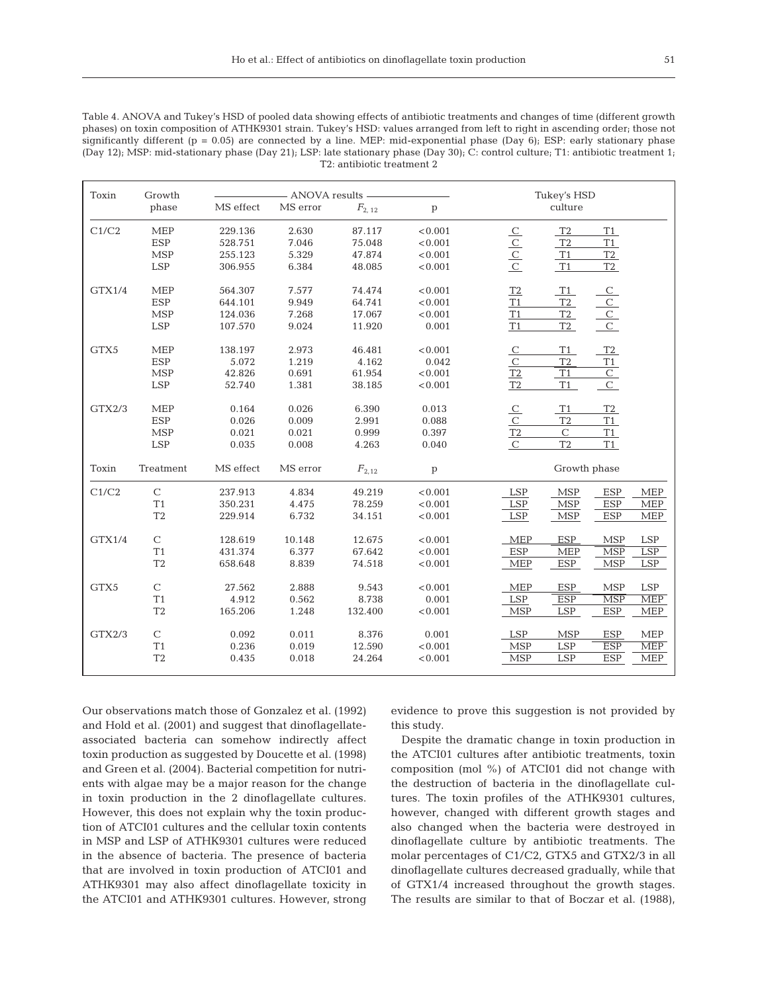Table 4. ANOVA and Tukey's HSD of pooled data showing effects of antibiotic treatments and changes of time (different growth phases) on toxin composition of ATHK9301 strain. Tukey's HSD: values arranged from left to right in ascending order; those not significantly different ( $p = 0.05$ ) are connected by a line. MEP: mid-exponential phase (Day 6); ESP: early stationary phase (Day 12); MSP: mid-stationary phase (Day 21); LSP: late stationary phase (Day 30); C: control culture; T1: antibiotic treatment 1; T2: antibiotic treatment 2

| Toxin  | Growth         |           | - ANOVA results - |            | Tukey's HSD  |                                                                     |  |  |
|--------|----------------|-----------|-------------------|------------|--------------|---------------------------------------------------------------------|--|--|
|        | phase          | MS effect | MS error          | $F_{2,12}$ | $\mathbf{p}$ | culture                                                             |  |  |
| C1/C2  | <b>MEP</b>     | 229.136   | 2.630             | 87.117     | < 0.001      | T <sub>2</sub><br>T1                                                |  |  |
|        | <b>ESP</b>     | 528.751   | 7.046             | 75.048     | < 0.001      | T1<br>T <sub>2</sub>                                                |  |  |
|        | <b>MSP</b>     | 255.123   | 5.329             | 47.874     | < 0.001      | T2<br>T1                                                            |  |  |
|        | <b>LSP</b>     | 306.955   | 6.384             | 48.085     | < 0.001      | $\frac{C}{C}$<br>T1<br>T2                                           |  |  |
| GTX1/4 | <b>MEP</b>     | 564.307   | 7.577             | 74.474     | < 0.001      | T2<br>T1<br>$\mathcal{C}$                                           |  |  |
|        | <b>ESP</b>     | 644.101   | 9.949             | 64.741     | < 0.001      | T1<br>T2                                                            |  |  |
|        | <b>MSP</b>     | 124.036   | 7.268             | 17.067     | < 0.001      | T2<br>T1                                                            |  |  |
|        | <b>LSP</b>     | 107.570   | 9.024             | 11.920     | 0.001        | $rac{C}{C}$<br>T1<br>T2                                             |  |  |
| GTX5   | <b>MEP</b>     | 138.197   | 2.973             | 46.481     | < 0.001      | T2<br>$\underline{\mathcal{C}}$<br>T1                               |  |  |
|        | <b>ESP</b>     | 5.072     | 1.219             | 4.162      | 0.042        | $\overline{C}$<br>T <sub>2</sub><br>T1                              |  |  |
|        | MSP            | 42.826    | 0.691             | 61.954     | < 0.001      | $\overline{C}$<br>T2<br>T1                                          |  |  |
|        | <b>LSP</b>     | 52.740    | 1.381             | 38.185     | < 0.001      | T <sub>2</sub><br>$\overline{C}$<br>T1                              |  |  |
| GTX2/3 | <b>MEP</b>     | 0.164     | 0.026             | 6.390      | 0.013        | T2<br>$\overline{C}$<br>T <sub>1</sub>                              |  |  |
|        | <b>ESP</b>     | 0.026     | 0.009             | 2.991      | 0.088        | $\mathcal{C}$<br>T1<br>T <sub>2</sub>                               |  |  |
|        | <b>MSP</b>     | 0.021     | 0.021             | 0.999      | 0.397        | $\mathbf C$<br>T2<br>T1                                             |  |  |
|        | <b>LSP</b>     | 0.035     | 0.008             | 4.263      | 0.040        | T <sub>2</sub><br>$\mathsf C$<br>T1                                 |  |  |
| Toxin  | Treatment      | MS effect | MS error          | $F_{2,12}$ | $\, {\bf p}$ | Growth phase                                                        |  |  |
| C1/C2  | $\mathbf C$    | 237.913   | 4.834             | 49.219     | < 0.001      | <b>MSP</b><br><b>ESP</b><br><b>MEP</b><br>LSP                       |  |  |
|        | T1             | 350.231   | 4.475             | 78.259     | < 0.001      | MSP<br><b>ESP</b><br><b>LSP</b><br>MEP                              |  |  |
|        | T <sub>2</sub> | 229.914   | 6.732             | 34.151     | < 0.001      | LSP<br><b>ESP</b><br><b>MSP</b><br><b>MEP</b>                       |  |  |
| GTX1/4 | $\mathbf C$    | 128.619   | 10.148            | 12.675     | < 0.001      | <b>MEP</b><br><b>ESP</b><br><b>MSP</b><br><b>LSP</b>                |  |  |
|        | T1             | 431.374   | 6.377             | 67.642     | < 0.001      | <b>ESP</b><br><b>MSP</b><br>LSP<br><b>MEP</b>                       |  |  |
|        | T <sub>2</sub> | 658.648   | 8.839             | 74.518     | < 0.001      | ESP<br><b>MSP</b><br><b>MEP</b><br><b>LSP</b>                       |  |  |
| GTX5   | $\mathbf C$    | 27.562    | 2.888             | 9.543      | < 0.001      | <b>MEP</b><br><b>ESP</b><br><b>MSP</b><br>$\ensuremath{\text{LSP}}$ |  |  |
|        | T1             | 4.912     | 0.562             | 8.738      | 0.001        | <b>ESP</b><br>$\overline{\text{MSP}}$<br><b>LSP</b><br><b>MEP</b>   |  |  |
|        | T <sub>2</sub> | 165.206   | 1.248             | 132.400    | < 0.001      | <b>MSP</b><br>$\ensuremath{\text{LSP}}$<br><b>ESP</b><br><b>MEP</b> |  |  |
| GTX2/3 | $\mathbf C$    | 0.092     | 0.011             | 8.376      | 0.001        | <b>LSP</b><br><b>MSP</b><br><b>ESP</b><br><b>MEP</b>                |  |  |
|        | T1             | 0.236     | 0.019             | 12.590     | < 0.001      | ESP<br><b>MEP</b><br><b>MSP</b><br><b>LSP</b>                       |  |  |
|        | T <sub>2</sub> | 0.435     | 0.018             | 24.264     | < 0.001      | <b>MSP</b><br><b>ESP</b><br><b>LSP</b><br><b>MEP</b>                |  |  |
|        |                |           |                   |            |              |                                                                     |  |  |

Our observations match those of Gonzalez et al. (1992) and Hold et al. (2001) and suggest that dinoflagellateassociated bacteria can somehow indirectly affect toxin production as suggested by Doucette et al. (1998) and Green et al. (2004). Bacterial competition for nutrients with algae may be a major reason for the change in toxin production in the 2 dinoflagellate cultures. However, this does not explain why the toxin production of ATCI01 cultures and the cellular toxin contents in MSP and LSP of ATHK9301 cultures were reduced in the absence of bacteria. The presence of bacteria that are involved in toxin production of ATCI01 and ATHK9301 may also affect dinoflagellate toxicity in the ATCI01 and ATHK9301 cultures. However, strong

evidence to prove this suggestion is not provided by this study.

Despite the dramatic change in toxin production in the ATCI01 cultures after antibiotic treatments, toxin composition (mol %) of ATCI01 did not change with the destruction of bacteria in the dinoflagellate cultures. The toxin profiles of the ATHK9301 cultures, however, changed with different growth stages and also changed when the bacteria were destroyed in dinoflagellate culture by antibiotic treatments. The molar percentages of C1/C2, GTX5 and GTX2/3 in all dinoflagellate cultures decreased gradually, while that of GTX1/4 increased throughout the growth stages. The results are similar to that of Boczar et al. (1988),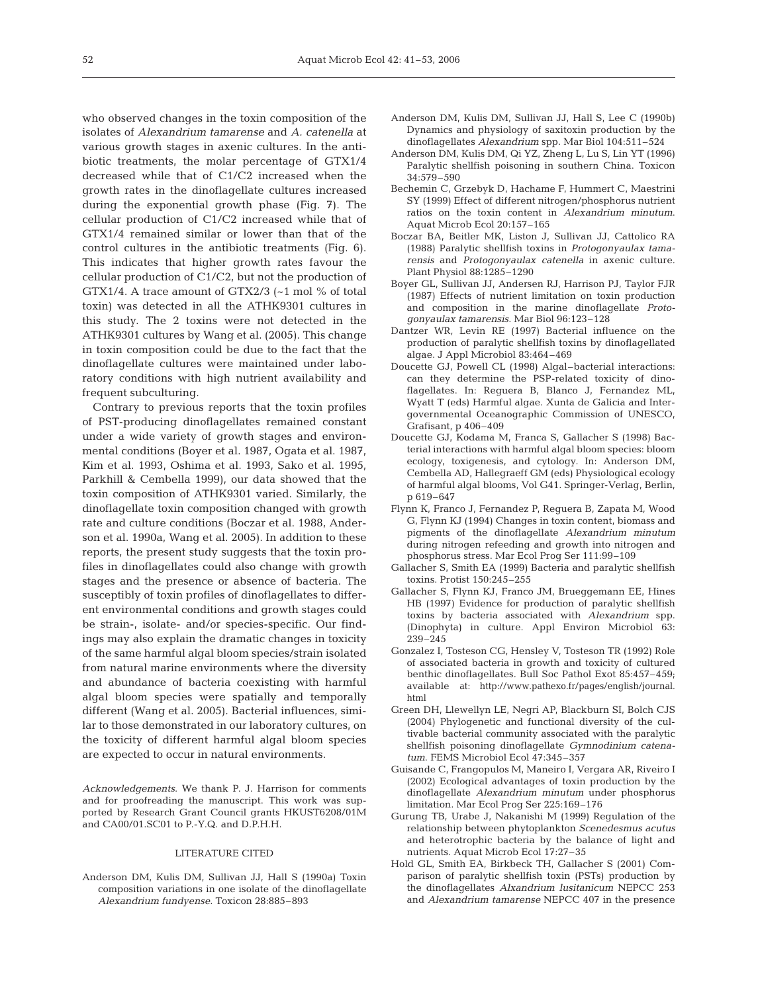who observed changes in the toxin composition of the isolates of *Alexandrium tamarense* and *A. catenella* at various growth stages in axenic cultures. In the antibiotic treatments, the molar percentage of GTX1/4 decreased while that of C1/C2 increased when the growth rates in the dinoflagellate cultures increased during the exponential growth phase (Fig. 7). The cellular production of C1/C2 increased while that of GTX1/4 remained similar or lower than that of the control cultures in the antibiotic treatments (Fig. 6). This indicates that higher growth rates favour the cellular production of C1/C2, but not the production of GTX1/4. A trace amount of GTX2/3 (~1 mol % of total toxin) was detected in all the ATHK9301 cultures in this study. The 2 toxins were not detected in the ATHK9301 cultures by Wang et al. (2005). This change in toxin composition could be due to the fact that the dinoflagellate cultures were maintained under laboratory conditions with high nutrient availability and frequent subculturing.

Contrary to previous reports that the toxin profiles of PST-producing dinoflagellates remained constant under a wide variety of growth stages and environmental conditions (Boyer et al. 1987, Ogata et al. 1987, Kim et al. 1993, Oshima et al. 1993, Sako et al. 1995, Parkhill & Cembella 1999), our data showed that the toxin composition of ATHK9301 varied. Similarly, the dinoflagellate toxin composition changed with growth rate and culture conditions (Boczar et al. 1988, Anderson et al. 1990a, Wang et al. 2005). In addition to these reports, the present study suggests that the toxin profiles in dinoflagellates could also change with growth stages and the presence or absence of bacteria. The susceptibly of toxin profiles of dinoflagellates to different environmental conditions and growth stages could be strain-, isolate- and/or species-specific. Our findings may also explain the dramatic changes in toxicity of the same harmful algal bloom species/strain isolated from natural marine environments where the diversity and abundance of bacteria coexisting with harmful algal bloom species were spatially and temporally different (Wang et al. 2005). Bacterial influences, similar to those demonstrated in our laboratory cultures, on the toxicity of different harmful algal bloom species are expected to occur in natural environments.

*Acknowledgements*. We thank P. J. Harrison for comments and for proofreading the manuscript. This work was supported by Research Grant Council grants HKUST6208/01M and CA00/01.SC01 to P.-Y.Q. and D.P.H.H.

## LITERATURE CITED

Anderson DM, Kulis DM, Sullivan JJ, Hall S (1990a) Toxin composition variations in one isolate of the dinoflagellate *Alexandrium fundyense*. Toxicon 28:885–893

- Anderson DM, Kulis DM, Sullivan JJ, Hall S, Lee C (1990b) Dynamics and physiology of saxitoxin production by the dinoflagellates *Alexandrium* spp. Mar Biol 104:511–524
- Anderson DM, Kulis DM, Qi YZ, Zheng L, Lu S, Lin YT (1996) Paralytic shellfish poisoning in southern China. Toxicon 34:579–590
- Bechemin C, Grzebyk D, Hachame F, Hummert C, Maestrini SY (1999) Effect of different nitrogen/phosphorus nutrient ratios on the toxin content in *Alexandrium minutum*. Aquat Microb Ecol 20:157–165
- Boczar BA, Beitler MK, Liston J, Sullivan JJ, Cattolico RA (1988) Paralytic shellfish toxins in *Protogonyaulax tamarensis* and *Protogonyaulax catenella* in axenic culture. Plant Physiol 88:1285–1290
- Boyer GL, Sullivan JJ, Andersen RJ, Harrison PJ, Taylor FJR (1987) Effects of nutrient limitation on toxin production and composition in the marine dinoflagellate *Protogonyaulax tamarensis*. Mar Biol 96:123–128
- Dantzer WR, Levin RE (1997) Bacterial influence on the production of paralytic shellfish toxins by dinoflagellated algae. J Appl Microbiol 83:464–469
- Doucette GJ, Powell CL (1998) Algal–bacterial interactions: can they determine the PSP-related toxicity of dinoflagellates. In: Reguera B, Blanco J, Fernandez ML, Wyatt T (eds) Harmful algae. Xunta de Galicia and Intergovernmental Oceanographic Commission of UNESCO, Grafisant, p 406–409
- Doucette GJ, Kodama M, Franca S, Gallacher S (1998) Bacterial interactions with harmful algal bloom species: bloom ecology, toxigenesis, and cytology. In: Anderson DM, Cembella AD, Hallegraeff GM (eds) Physiological ecology of harmful algal blooms, Vol G41. Springer-Verlag, Berlin, p 619–647
- Flynn K, Franco J, Fernandez P, Reguera B, Zapata M, Wood G, Flynn KJ (1994) Changes in toxin content, biomass and pigments of the dinoflagellate *Alexandrium minutum* during nitrogen refeeding and growth into nitrogen and phosphorus stress. Mar Ecol Prog Ser 111:99–109
- Gallacher S, Smith EA (1999) Bacteria and paralytic shellfish toxins. Protist 150:245–255
- Gallacher S, Flynn KJ, Franco JM, Brueggemann EE, Hines HB (1997) Evidence for production of paralytic shellfish toxins by bacteria associated with *Alexandrium* spp. (Dinophyta) in culture. Appl Environ Microbiol 63: 239–245
- Gonzalez I, Tosteson CG, Hensley V, Tosteson TR (1992) Role of associated bacteria in growth and toxicity of cultured benthic dinoflagellates. Bull Soc Pathol Exot 85:457–459; available at: http://www.pathexo.fr/pages/english/journal. html
- Green DH, Llewellyn LE, Negri AP, Blackburn SI, Bolch CJS (2004) Phylogenetic and functional diversity of the cultivable bacterial community associated with the paralytic shellfish poisoning dinoflagellate *Gymnodinium catenatum*. FEMS Microbiol Ecol 47:345–357
- Guisande C, Frangopulos M, Maneiro I, Vergara AR, Riveiro I (2002) Ecological advantages of toxin production by the dinoflagellate *Alexandrium minutum* under phosphorus limitation. Mar Ecol Prog Ser 225:169–176
- Gurung TB, Urabe J, Nakanishi M (1999) Regulation of the relationship between phytoplankton *Scenedesmus acutus* and heterotrophic bacteria by the balance of light and nutrients. Aquat Microb Ecol 17:27–35
- Hold GL, Smith EA, Birkbeck TH, Gallacher S (2001) Comparison of paralytic shellfish toxin (PSTs) production by the dinoflagellates *Alxandrium lusitanicum* NEPCC 253 and *Alexandrium tamarense* NEPCC 407 in the presence